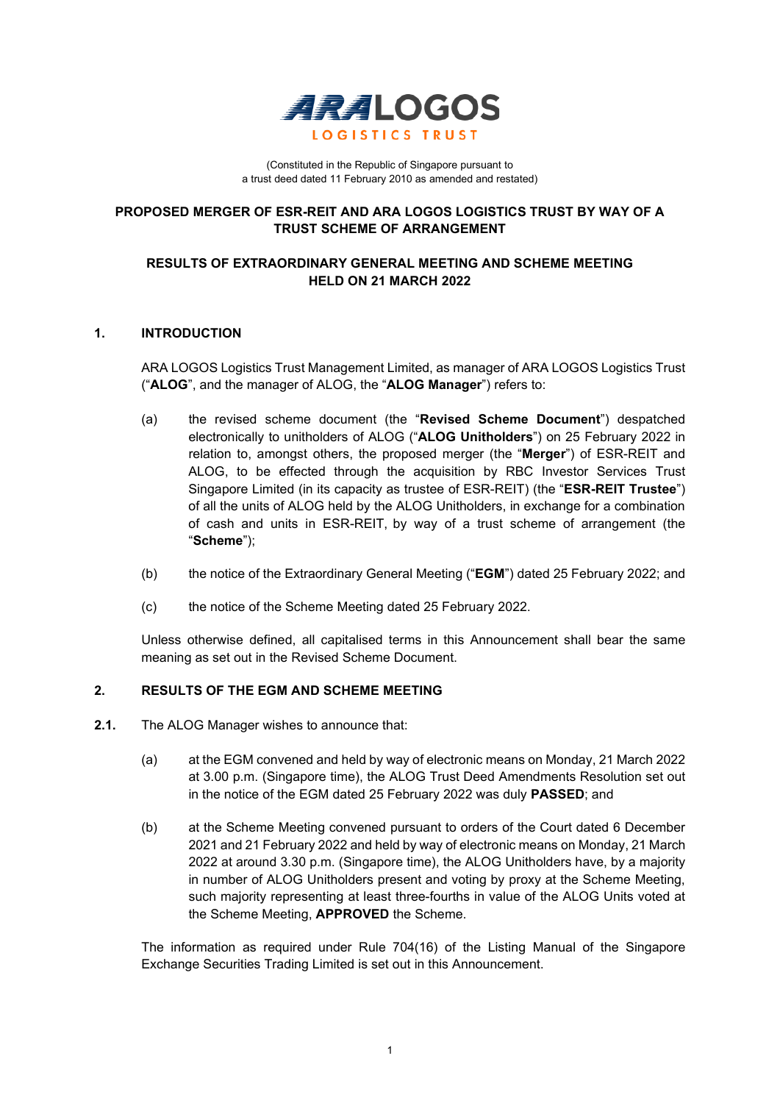

(Constituted in the Republic of Singapore pursuant to a trust deed dated 11 February 2010 as amended and restated)

## **PROPOSED MERGER OF ESR-REIT AND ARA LOGOS LOGISTICS TRUST BY WAY OF A TRUST SCHEME OF ARRANGEMENT**

# **RESULTS OF EXTRAORDINARY GENERAL MEETING AND SCHEME MEETING HELD ON 21 MARCH 2022**

## **1. INTRODUCTION**

ARA LOGOS Logistics Trust Management Limited, as manager of ARA LOGOS Logistics Trust ("**ALOG**", and the manager of ALOG, the "**ALOG Manager**") refers to:

- (a) the revised scheme document (the "**Revised Scheme Document**") despatched electronically to unitholders of ALOG ("**ALOG Unitholders**") on 25 February 2022 in relation to, amongst others, the proposed merger (the "**Merger**") of ESR-REIT and ALOG, to be effected through the acquisition by RBC Investor Services Trust Singapore Limited (in its capacity as trustee of ESR-REIT) (the "**ESR-REIT Trustee**") of all the units of ALOG held by the ALOG Unitholders, in exchange for a combination of cash and units in ESR-REIT, by way of a trust scheme of arrangement (the "**Scheme**");
- (b) the notice of the Extraordinary General Meeting ("**EGM**") dated 25 February 2022; and
- (c) the notice of the Scheme Meeting dated 25 February 2022.

Unless otherwise defined, all capitalised terms in this Announcement shall bear the same meaning as set out in the Revised Scheme Document.

## **2. RESULTS OF THE EGM AND SCHEME MEETING**

- **2.1.** The ALOG Manager wishes to announce that:
	- (a) at the EGM convened and held by way of electronic means on Monday, 21 March 2022 at 3.00 p.m. (Singapore time), the ALOG Trust Deed Amendments Resolution set out in the notice of the EGM dated 25 February 2022 was duly **PASSED**; and
	- (b) at the Scheme Meeting convened pursuant to orders of the Court dated 6 December 2021 and 21 February 2022 and held by way of electronic means on Monday, 21 March 2022 at around 3.30 p.m. (Singapore time), the ALOG Unitholders have, by a majority in number of ALOG Unitholders present and voting by proxy at the Scheme Meeting, such majority representing at least three-fourths in value of the ALOG Units voted at the Scheme Meeting, **APPROVED** the Scheme.

The information as required under Rule 704(16) of the Listing Manual of the Singapore Exchange Securities Trading Limited is set out in this Announcement.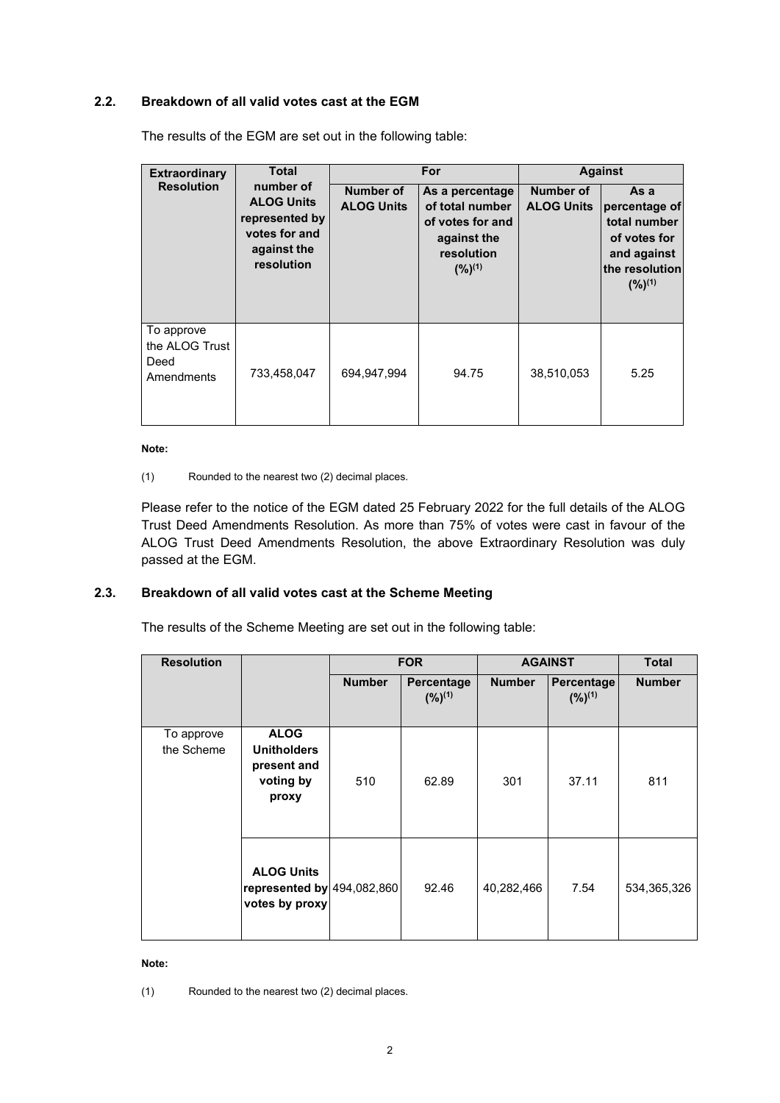# **2.2. Breakdown of all valid votes cast at the EGM**

| <b>Extraordinary</b>                               | <b>Total</b>                                                                                   | For                            |                                                                                                    | <b>Against</b>                        |                                                                                                       |
|----------------------------------------------------|------------------------------------------------------------------------------------------------|--------------------------------|----------------------------------------------------------------------------------------------------|---------------------------------------|-------------------------------------------------------------------------------------------------------|
| <b>Resolution</b>                                  | number of<br><b>ALOG Units</b><br>represented by<br>votes for and<br>against the<br>resolution | Number of<br><b>ALOG Units</b> | As a percentage<br>of total number<br>of votes for and<br>against the<br>resolution<br>$(%)^{(1)}$ | <b>Number of</b><br><b>ALOG Units</b> | As a<br>percentage of<br>total number<br>of votes for<br>and against<br>the resolution<br>$(%)^{(1)}$ |
| To approve<br>the ALOG Trust<br>Deed<br>Amendments | 733,458,047                                                                                    | 694,947,994                    | 94.75                                                                                              | 38,510,053                            | 5.25                                                                                                  |

The results of the EGM are set out in the following table:

#### **Note:**

(1) Rounded to the nearest two (2) decimal places.

Please refer to the notice of the EGM dated 25 February 2022 for the full details of the ALOG Trust Deed Amendments Resolution. As more than 75% of votes were cast in favour of the ALOG Trust Deed Amendments Resolution, the above Extraordinary Resolution was duly passed at the EGM.

## **2.3. Breakdown of all valid votes cast at the Scheme Meeting**

The results of the Scheme Meeting are set out in the following table:

| <b>Resolution</b>        |                                                                        | <b>FOR</b>    |                           | <b>AGAINST</b> |                           | <b>Total</b>  |
|--------------------------|------------------------------------------------------------------------|---------------|---------------------------|----------------|---------------------------|---------------|
|                          |                                                                        | <b>Number</b> | Percentage<br>$(%)^{(1)}$ | <b>Number</b>  | Percentage<br>$(%)^{(1)}$ | <b>Number</b> |
| To approve<br>the Scheme | <b>ALOG</b><br><b>Unitholders</b><br>present and<br>voting by<br>proxy | 510           | 62.89                     | 301            | 37.11                     | 811           |
|                          | <b>ALOG Units</b><br>represented by 494,082,860<br>votes by proxy      |               | 92.46                     | 40,282,466     | 7.54                      | 534,365,326   |

#### **Note:**

(1) Rounded to the nearest two (2) decimal places.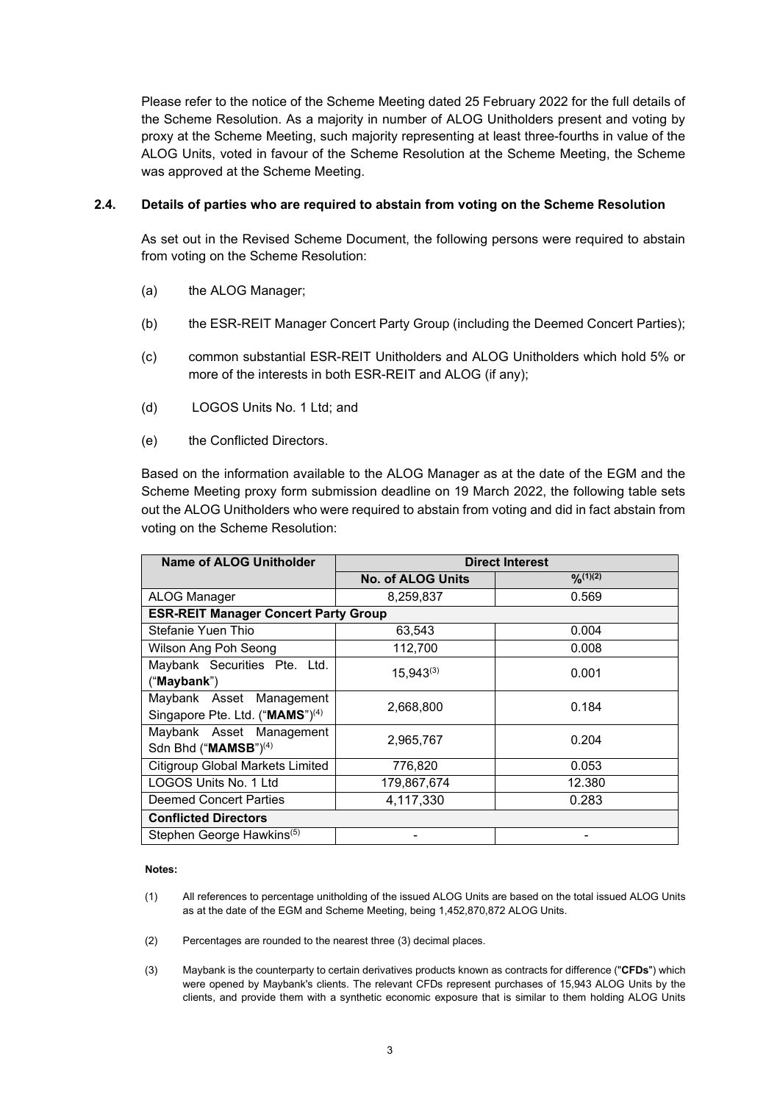Please refer to the notice of the Scheme Meeting dated 25 February 2022 for the full details of the Scheme Resolution. As a majority in number of ALOG Unitholders present and voting by proxy at the Scheme Meeting, such majority representing at least three-fourths in value of the ALOG Units, voted in favour of the Scheme Resolution at the Scheme Meeting, the Scheme was approved at the Scheme Meeting.

### **2.4. Details of parties who are required to abstain from voting on the Scheme Resolution**

As set out in the Revised Scheme Document, the following persons were required to abstain from voting on the Scheme Resolution:

- (a) the ALOG Manager;
- (b) the ESR-REIT Manager Concert Party Group (including the Deemed Concert Parties);
- (c) common substantial ESR-REIT Unitholders and ALOG Unitholders which hold 5% or more of the interests in both ESR-REIT and ALOG (if any);
- (d) LOGOS Units No. 1 Ltd; and
- (e) the Conflicted Directors.

Based on the information available to the ALOG Manager as at the date of the EGM and the Scheme Meeting proxy form submission deadline on 19 March 2022, the following table sets out the ALOG Unitholders who were required to abstain from voting and did in fact abstain from voting on the Scheme Resolution:

| Name of ALOG Unitholder                     | <b>Direct Interest</b>   |                |  |  |
|---------------------------------------------|--------------------------|----------------|--|--|
|                                             | <b>No. of ALOG Units</b> | $O(n^{(1)(2)}$ |  |  |
| <b>ALOG Manager</b>                         | 8,259,837                | 0.569          |  |  |
| <b>ESR-REIT Manager Concert Party Group</b> |                          |                |  |  |
| Stefanie Yuen Thio                          | 63,543                   | 0.004          |  |  |
| Wilson Ang Poh Seong                        | 112,700                  | 0.008          |  |  |
| Maybank Securities Pte. Ltd.                | $15,943^{(3)}$           | 0.001          |  |  |
| ("Maybank")                                 |                          |                |  |  |
| Maybank Asset Management                    | 2,668,800                | 0.184          |  |  |
| Singapore Pte. Ltd. ("MAMS") <sup>(4)</sup> |                          |                |  |  |
| Maybank Asset Management                    | 2,965,767                | 0.204          |  |  |
| Sdn Bhd ("MAMSB") <sup>(4)</sup>            |                          |                |  |  |
| <b>Citigroup Global Markets Limited</b>     | 776,820                  | 0.053          |  |  |
| LOGOS Units No. 1 Ltd                       | 179.867.674              | 12.380         |  |  |
| <b>Deemed Concert Parties</b>               | 4,117,330                | 0.283          |  |  |
| <b>Conflicted Directors</b>                 |                          |                |  |  |
| Stephen George Hawkins <sup>(5)</sup>       |                          |                |  |  |

#### **Notes:**

- (1) All references to percentage unitholding of the issued ALOG Units are based on the total issued ALOG Units as at the date of the EGM and Scheme Meeting, being 1,452,870,872 ALOG Units.
- (2) Percentages are rounded to the nearest three (3) decimal places.
- (3) Maybank is the counterparty to certain derivatives products known as contracts for difference ("**CFDs**") which were opened by Maybank's clients. The relevant CFDs represent purchases of 15,943 ALOG Units by the clients, and provide them with a synthetic economic exposure that is similar to them holding ALOG Units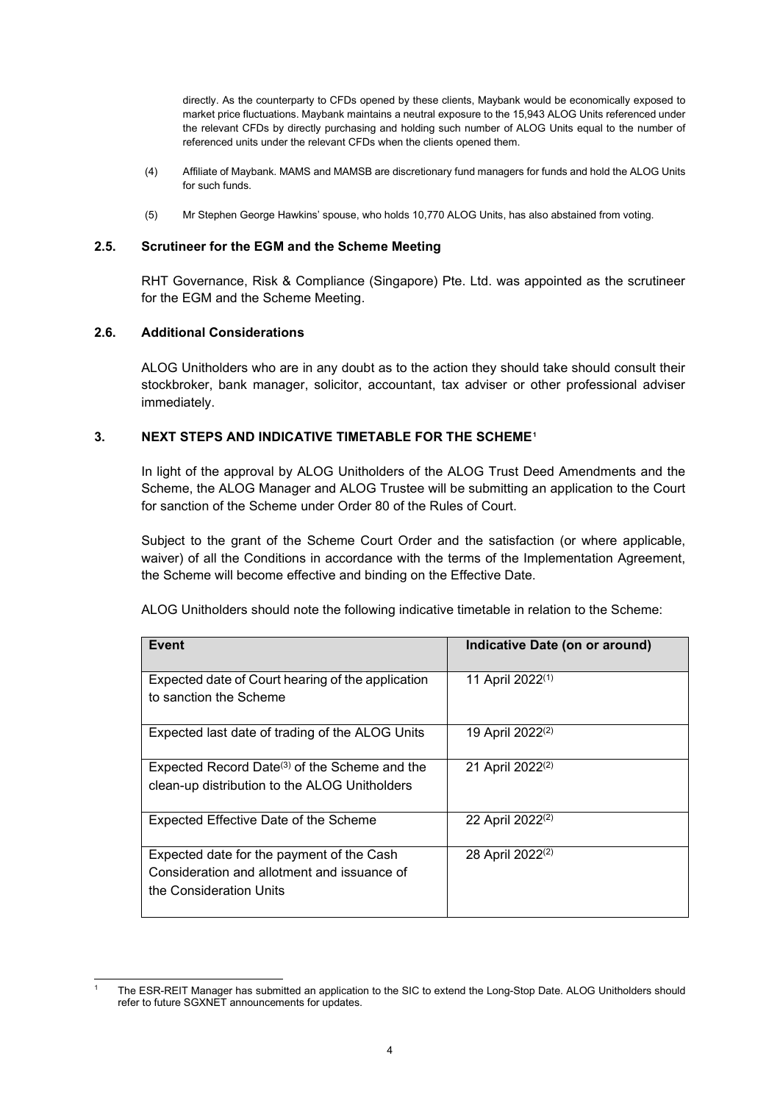directly. As the counterparty to CFDs opened by these clients, Maybank would be economically exposed to market price fluctuations. Maybank maintains a neutral exposure to the 15,943 ALOG Units referenced under the relevant CFDs by directly purchasing and holding such number of ALOG Units equal to the number of referenced units under the relevant CFDs when the clients opened them.

- (4) Affiliate of Maybank. MAMS and MAMSB are discretionary fund managers for funds and hold the ALOG Units for such funds.
- (5) Mr Stephen George Hawkins' spouse, who holds 10,770 ALOG Units, has also abstained from voting.

### **2.5. Scrutineer for the EGM and the Scheme Meeting**

RHT Governance, Risk & Compliance (Singapore) Pte. Ltd. was appointed as the scrutineer for the EGM and the Scheme Meeting.

### **2.6. Additional Considerations**

ALOG Unitholders who are in any doubt as to the action they should take should consult their stockbroker, bank manager, solicitor, accountant, tax adviser or other professional adviser immediately.

### **3. NEXT STEPS AND INDICATIVE TIMETABLE FOR THE SCHEME[1](#page-3-0)**

In light of the approval by ALOG Unitholders of the ALOG Trust Deed Amendments and the Scheme, the ALOG Manager and ALOG Trustee will be submitting an application to the Court for sanction of the Scheme under Order 80 of the Rules of Court.

Subject to the grant of the Scheme Court Order and the satisfaction (or where applicable, waiver) of all the Conditions in accordance with the terms of the Implementation Agreement, the Scheme will become effective and binding on the Effective Date.

ALOG Unitholders should note the following indicative timetable in relation to the Scheme:

| Event                                                                                                               | Indicative Date (on or around) |
|---------------------------------------------------------------------------------------------------------------------|--------------------------------|
| Expected date of Court hearing of the application<br>to sanction the Scheme                                         | 11 April 2022 <sup>(1)</sup>   |
| Expected last date of trading of the ALOG Units                                                                     | 19 April 2022 <sup>(2)</sup>   |
| Expected Record Date <sup>(3)</sup> of the Scheme and the<br>clean-up distribution to the ALOG Unitholders          | 21 April 2022 <sup>(2)</sup>   |
| Expected Effective Date of the Scheme                                                                               | 22 April 2022 <sup>(2)</sup>   |
| Expected date for the payment of the Cash<br>Consideration and allotment and issuance of<br>the Consideration Units | 28 April 2022 <sup>(2)</sup>   |

<span id="page-3-0"></span><sup>1</sup> The ESR-REIT Manager has submitted an application to the SIC to extend the Long-Stop Date. ALOG Unitholders should refer to future SGXNET announcements for updates.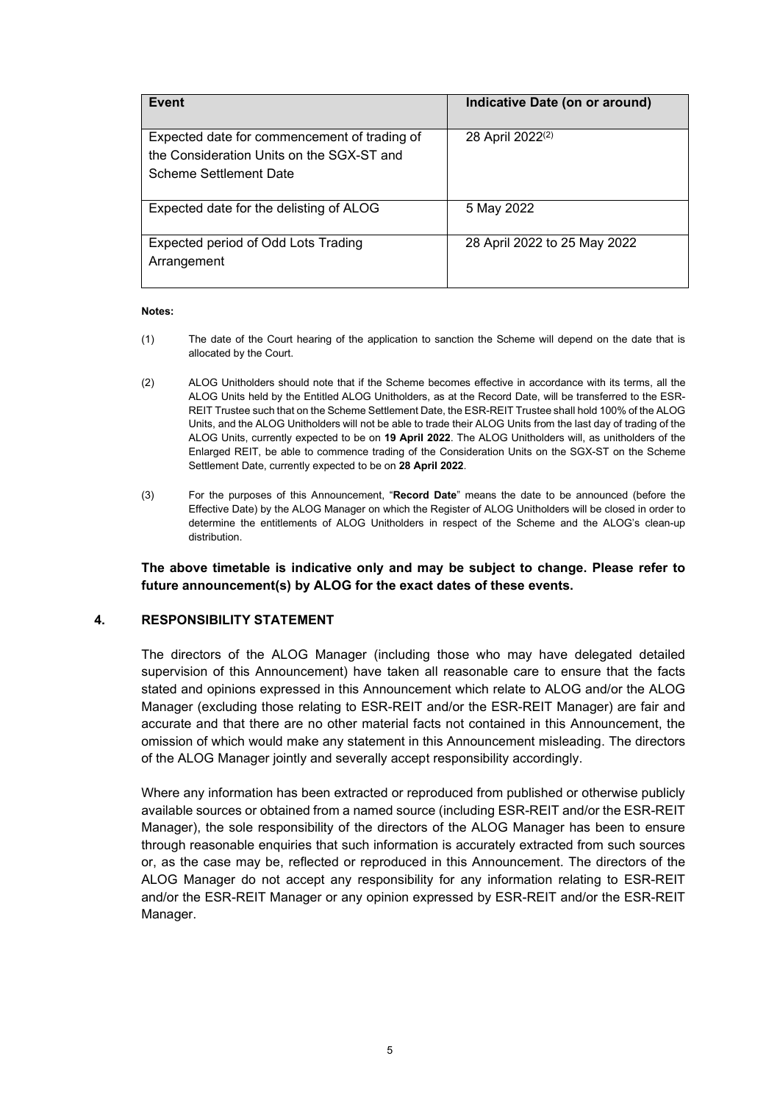| Event                                                                                                               | Indicative Date (on or around) |
|---------------------------------------------------------------------------------------------------------------------|--------------------------------|
| Expected date for commencement of trading of<br>the Consideration Units on the SGX-ST and<br>Scheme Settlement Date | 28 April 2022 <sup>(2)</sup>   |
| Expected date for the delisting of ALOG                                                                             | 5 May 2022                     |
| Expected period of Odd Lots Trading<br>Arrangement                                                                  | 28 April 2022 to 25 May 2022   |

#### **Notes:**

- (1) The date of the Court hearing of the application to sanction the Scheme will depend on the date that is allocated by the Court.
- (2) ALOG Unitholders should note that if the Scheme becomes effective in accordance with its terms, all the ALOG Units held by the Entitled ALOG Unitholders, as at the Record Date, will be transferred to the ESR-REIT Trustee such that on the Scheme Settlement Date, the ESR-REIT Trustee shall hold 100% of the ALOG Units, and the ALOG Unitholders will not be able to trade their ALOG Units from the last day of trading of the ALOG Units, currently expected to be on **19 April 2022**. The ALOG Unitholders will, as unitholders of the Enlarged REIT, be able to commence trading of the Consideration Units on the SGX-ST on the Scheme Settlement Date, currently expected to be on **28 April 2022**.
- (3) For the purposes of this Announcement, "**Record Date**" means the date to be announced (before the Effective Date) by the ALOG Manager on which the Register of ALOG Unitholders will be closed in order to determine the entitlements of ALOG Unitholders in respect of the Scheme and the ALOG's clean-up distribution.

## **The above timetable is indicative only and may be subject to change. Please refer to future announcement(s) by ALOG for the exact dates of these events.**

## **4. RESPONSIBILITY STATEMENT**

The directors of the ALOG Manager (including those who may have delegated detailed supervision of this Announcement) have taken all reasonable care to ensure that the facts stated and opinions expressed in this Announcement which relate to ALOG and/or the ALOG Manager (excluding those relating to ESR-REIT and/or the ESR-REIT Manager) are fair and accurate and that there are no other material facts not contained in this Announcement, the omission of which would make any statement in this Announcement misleading. The directors of the ALOG Manager jointly and severally accept responsibility accordingly.

Where any information has been extracted or reproduced from published or otherwise publicly available sources or obtained from a named source (including ESR-REIT and/or the ESR-REIT Manager), the sole responsibility of the directors of the ALOG Manager has been to ensure through reasonable enquiries that such information is accurately extracted from such sources or, as the case may be, reflected or reproduced in this Announcement. The directors of the ALOG Manager do not accept any responsibility for any information relating to ESR-REIT and/or the ESR-REIT Manager or any opinion expressed by ESR-REIT and/or the ESR-REIT Manager.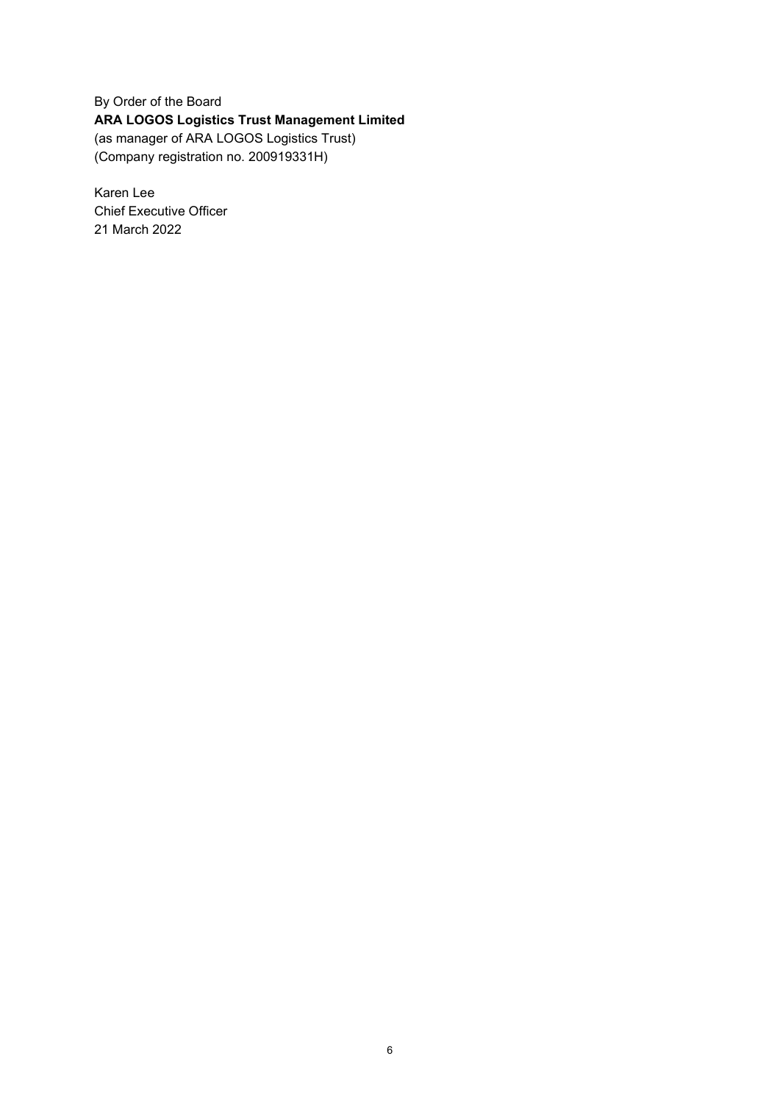By Order of the Board **ARA LOGOS Logistics Trust Management Limited**  (as manager of ARA LOGOS Logistics Trust) (Company registration no. 200919331H)

Karen Lee Chief Executive Officer 21 March 2022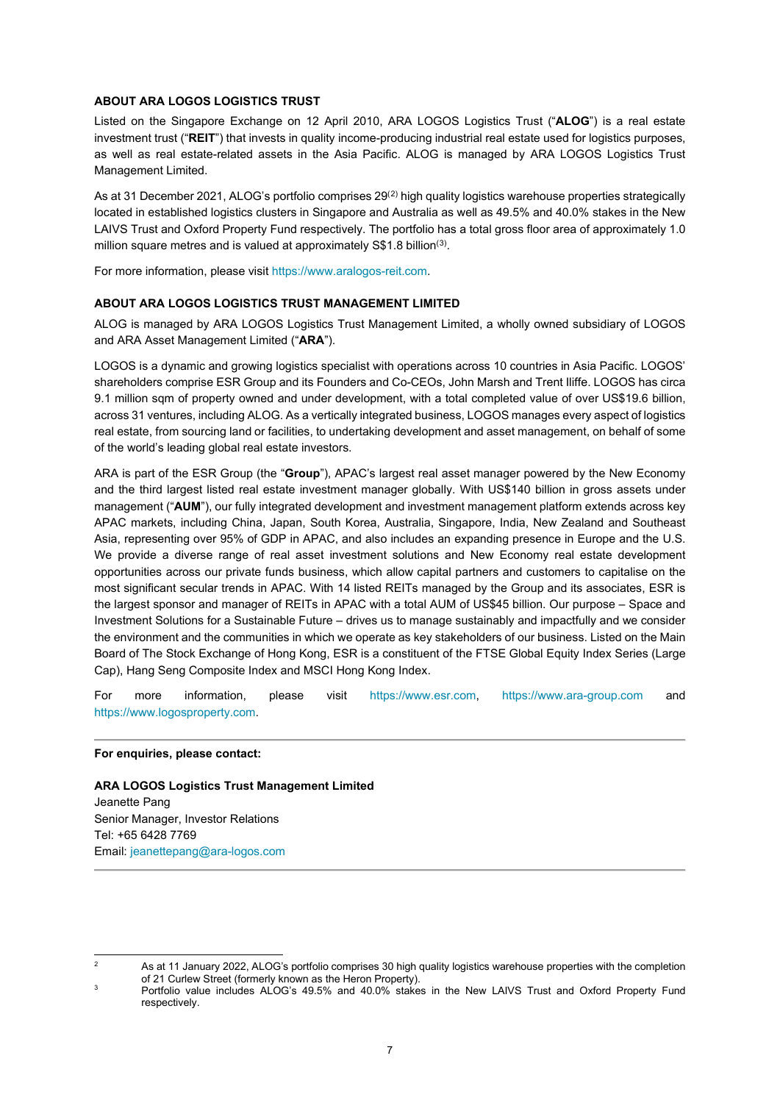#### **ABOUT ARA LOGOS LOGISTICS TRUST**

Listed on the Singapore Exchange on 12 April 2010, ARA LOGOS Logistics Trust ("**ALOG**") is a real estate investment trust ("**REIT**") that invests in quality income-producing industrial real estate used for logistics purposes, as well as real estate-related assets in the Asia Pacific. ALOG is managed by ARA LOGOS Logistics Trust Management Limited.

As at 31 December 2021, ALOG's portfolio comprises  $29<sup>(2)</sup>$  $29<sup>(2)</sup>$  $29<sup>(2)</sup>$  high quality logistics warehouse properties strategically located in established logistics clusters in Singapore and Australia as well as 49.5% and 40.0% stakes in the New LAIVS Trust and Oxford Property Fund respectively. The portfolio has a total gross floor area of approximately 1.0 million square metres and is valued at approximately S\$1.8 billion<sup>([3](#page-6-1))</sup>.

For more information, please visit https://www.aralogos-reit.com.

### **ABOUT ARA LOGOS LOGISTICS TRUST MANAGEMENT LIMITED**

ALOG is managed by ARA LOGOS Logistics Trust Management Limited, a wholly owned subsidiary of LOGOS and ARA Asset Management Limited ("**ARA**").

LOGOS is a dynamic and growing logistics specialist with operations across 10 countries in Asia Pacific. LOGOS' shareholders comprise ESR Group and its Founders and Co-CEOs, John Marsh and Trent Iliffe. LOGOS has circa 9.1 million sqm of property owned and under development, with a total completed value of over US\$19.6 billion, across 31 ventures, including ALOG. As a vertically integrated business, LOGOS manages every aspect of logistics real estate, from sourcing land or facilities, to undertaking development and asset management, on behalf of some of the world's leading global real estate investors.

ARA is part of the ESR Group (the "**Group**"), APAC's largest real asset manager powered by the New Economy and the third largest listed real estate investment manager globally. With US\$140 billion in gross assets under management ("**AUM**"), our fully integrated development and investment management platform extends across key APAC markets, including China, Japan, South Korea, Australia, Singapore, India, New Zealand and Southeast Asia, representing over 95% of GDP in APAC, and also includes an expanding presence in Europe and the U.S. We provide a diverse range of real asset investment solutions and New Economy real estate development opportunities across our private funds business, which allow capital partners and customers to capitalise on the most significant secular trends in APAC. With 14 listed REITs managed by the Group and its associates, ESR is the largest sponsor and manager of REITs in APAC with a total AUM of US\$45 billion. Our purpose – Space and Investment Solutions for a Sustainable Future – drives us to manage sustainably and impactfully and we consider the environment and the communities in which we operate as key stakeholders of our business. Listed on the Main Board of The Stock Exchange of Hong Kong, ESR is a constituent of the FTSE Global Equity Index Series (Large Cap), Hang Seng Composite Index and MSCI Hong Kong Index.

For more information, please visit [https://www.esr.com,](https://www.esr.com/) [https://www.ara-group.com](https://www.ara-group.com/) and [https://www.logosproperty.com.](https://www.logosproperty.com/)

#### **For enquiries, please contact:**

**ARA LOGOS Logistics Trust Management Limited** Jeanette Pang Senior Manager, Investor Relations Tel: +65 6428 7769 Email[: jeanettepang@ara-logos.com](mailto:jeanettepang@ara-logos.com)

<span id="page-6-0"></span><sup>2</sup> As at 11 January 2022, ALOG's portfolio comprises 30 high quality logistics warehouse properties with the completion of 21 Curlew Street (formerly known as the Heron Property).

<span id="page-6-1"></span>Portfolio value includes ALOG's 49.5% and 40.0% stakes in the New LAIVS Trust and Oxford Property Fund respectively.